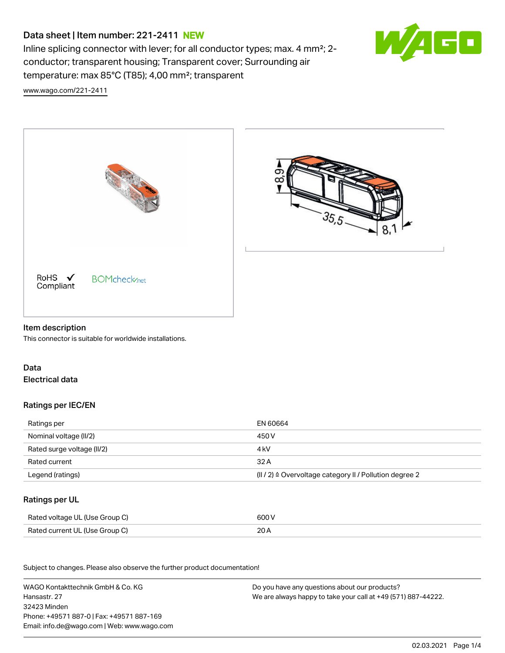# Data sheet | Item number: 221-2411 NEW

Inline splicing connector with lever; for all conductor types; max. 4 mm²; 2 conductor; transparent housing; Transparent cover; Surrounding air temperature: max 85°C (T85); 4,00 mm²; transparent



[www.wago.com/221-2411](http://www.wago.com/221-2411)



#### Item description

This connector is suitable for worldwide installations.

## Data Electrical data

#### Ratings per IEC/EN

| Ratings per                | EN 60664                                                |
|----------------------------|---------------------------------------------------------|
| Nominal voltage (II/2)     | 450 V                                                   |
| Rated surge voltage (II/2) | 4 kV                                                    |
| Rated current              | 32 A                                                    |
| Legend (ratings)           | (II / 2) ≙ Overvoltage category II / Pollution degree 2 |

#### Ratings per UL

| Rated voltage UL (Use Group C) | 600 V |
|--------------------------------|-------|
| Rated current UL (Use Group C) | 20 A  |

.<br>Subject to changes. Please also observe the further product documentation!

WAGO Kontakttechnik GmbH & Co. KG Hansastr. 27 32423 Minden Phone: +49571 887-0 | Fax: +49571 887-169 Email: info.de@wago.com | Web: www.wago.com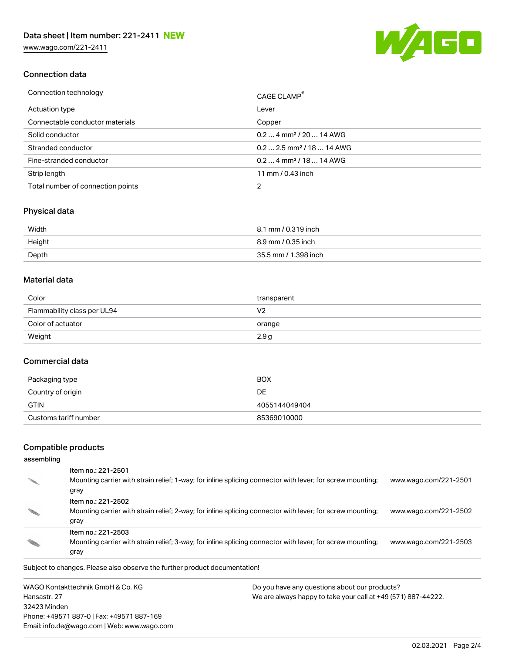[www.wago.com/221-2411](http://www.wago.com/221-2411)



### Connection data

| Connection technology             | CAGE CLAMP <sup>®</sup>               |
|-----------------------------------|---------------------------------------|
| Actuation type                    | Lever                                 |
| Connectable conductor materials   | Copper                                |
| Solid conductor                   | $0.24$ mm <sup>2</sup> / 20  14 AWG   |
| Stranded conductor                | $0.22.5$ mm <sup>2</sup> / 18  14 AWG |
| Fine-stranded conductor           | $0.24$ mm <sup>2</sup> / 18  14 AWG   |
| Strip length                      | 11 mm / 0.43 inch                     |
| Total number of connection points |                                       |

### Physical data

| Width  | 8.1 mm / 0.319 inch  |
|--------|----------------------|
| Height | 8.9 mm / 0.35 inch   |
| Depth  | 35.5 mm / 1.398 inch |

#### Material data

| Color                       | transparent |
|-----------------------------|-------------|
| Flammability class per UL94 | V2          |
| Color of actuator           | orange      |
| Weight                      | 2.9g        |

#### Commercial data

| Packaging type        | <b>BOX</b>    |
|-----------------------|---------------|
| Country of origin     | DE            |
| GTIN                  | 4055144049404 |
| Customs tariff number | 85369010000   |

# Compatible products

## assembling

| Item no.: 221-2501<br>Mounting carrier with strain relief; 1-way; for inline splicing connector with lever; for screw mounting;<br>gray | www.wago.com/221-2501 |
|-----------------------------------------------------------------------------------------------------------------------------------------|-----------------------|
| Item no.: 221-2502<br>Mounting carrier with strain relief; 2-way; for inline splicing connector with lever; for screw mounting;<br>gray | www.wago.com/221-2502 |
| Item no.: 221-2503<br>Mounting carrier with strain relief; 3-way; for inline splicing connector with lever; for screw mounting;<br>gray | www.wago.com/221-2503 |

Subject to changes. Please also observe the further product documentation!

WAGO Kontakttechnik GmbH & Co. KG Hansastr. 27 32423 Minden Phone: +49571 887-0 | Fax: +49571 887-169 Email: info.de@wago.com | Web: www.wago.com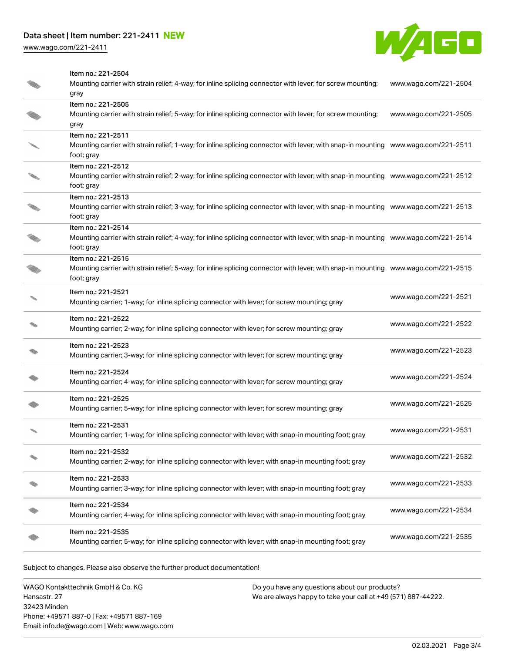# Data sheet | Item number: 221-2411 NEW

[www.wago.com/221-2411](http://www.wago.com/221-2411)



Item no.: 221-2504

| Mounting carrier with strain relief; 4-way; for inline splicing connector with lever; for screw mounting;<br>gray                                                     | www.wago.com/221-2504 |
|-----------------------------------------------------------------------------------------------------------------------------------------------------------------------|-----------------------|
| Item no.: 221-2505<br>Mounting carrier with strain relief; 5-way; for inline splicing connector with lever; for screw mounting;<br>gray                               | www.wago.com/221-2505 |
| Item no.: 221-2511<br>Mounting carrier with strain relief; 1-way; for inline splicing connector with lever; with snap-in mounting www.wago.com/221-2511<br>foot; gray |                       |
| Item no.: 221-2512<br>Mounting carrier with strain relief; 2-way; for inline splicing connector with lever; with snap-in mounting www.wago.com/221-2512<br>foot; gray |                       |
| Item no.: 221-2513<br>Mounting carrier with strain relief; 3-way; for inline splicing connector with lever; with snap-in mounting www.wago.com/221-2513<br>foot; gray |                       |
| Item no.: 221-2514<br>Mounting carrier with strain relief; 4-way; for inline splicing connector with lever; with snap-in mounting www.wago.com/221-2514<br>foot; gray |                       |
| Item no.: 221-2515<br>Mounting carrier with strain relief; 5-way; for inline splicing connector with lever; with snap-in mounting www.wago.com/221-2515<br>foot; gray |                       |
| Item no.: 221-2521<br>Mounting carrier; 1-way; for inline splicing connector with lever; for screw mounting; gray                                                     | www.wago.com/221-2521 |
| Item no.: 221-2522<br>Mounting carrier; 2-way; for inline splicing connector with lever; for screw mounting; gray                                                     | www.wago.com/221-2522 |
| Item no.: 221-2523<br>Mounting carrier; 3-way; for inline splicing connector with lever; for screw mounting; gray                                                     | www.wago.com/221-2523 |
| Item no.: 221-2524<br>Mounting carrier; 4-way; for inline splicing connector with lever; for screw mounting; gray                                                     | www.wago.com/221-2524 |
| Item no.: 221-2525<br>Mounting carrier; 5-way; for inline splicing connector with lever; for screw mounting; gray                                                     | www.wago.com/221-2525 |
| Item no.: 221-2531<br>Mounting carrier; 1-way; for inline splicing connector with lever; with snap-in mounting foot; gray                                             | www.wago.com/221-2531 |
| Item no.: 221-2532<br>Mounting carrier; 2-way; for inline splicing connector with lever; with snap-in mounting foot; gray                                             | www.wago.com/221-2532 |
| Item no.: 221-2533<br>Mounting carrier; 3-way; for inline splicing connector with lever; with snap-in mounting foot; gray                                             | www.wago.com/221-2533 |
| Item no.: 221-2534<br>Mounting carrier; 4-way; for inline splicing connector with lever; with snap-in mounting foot; gray                                             | www.wago.com/221-2534 |
| Item no.: 221-2535<br>Mounting carrier; 5-way; for inline splicing connector with lever; with snap-in mounting foot; gray                                             | www.wago.com/221-2535 |
|                                                                                                                                                                       |                       |

Subject to changes. Please also observe the further product documentation!

WAGO Kontakttechnik GmbH & Co. KG Hansastr. 27 32423 Minden Phone: +49571 887-0 | Fax: +49571 887-169 Email: info.de@wago.com | Web: www.wago.com